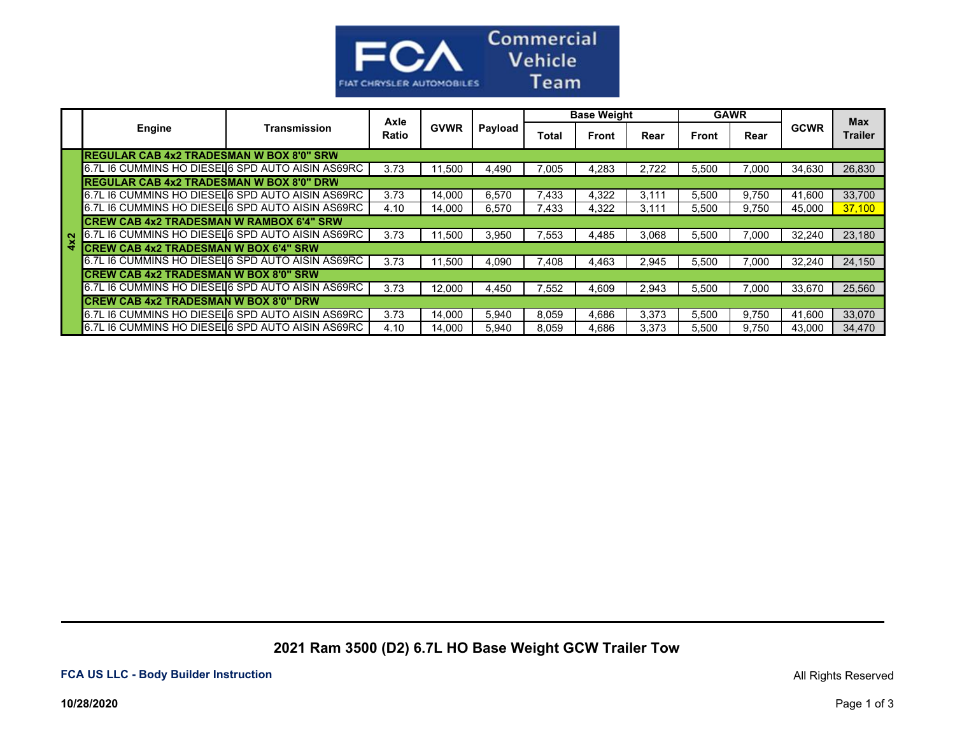

|                                                   |              |       | Axle<br><b>GVWR</b> | Payload | <b>Base Weight</b> |       |       | <b>GAWR</b> |       |             | <b>Max</b>     |
|---------------------------------------------------|--------------|-------|---------------------|---------|--------------------|-------|-------|-------------|-------|-------------|----------------|
| Engine                                            | Transmission | Ratio |                     |         | Total              | Front | Rear  | Front       | Rear  | <b>GCWR</b> | <b>Trailer</b> |
| <b>REGULAR CAB 4x2 TRADESMAN W BOX 8'0" SRW</b>   |              |       |                     |         |                    |       |       |             |       |             |                |
| 6.7L I6 CUMMINS HO DIESEL 6 SPD AUTO AISIN AS69RC |              | 3.73  | 11,500              | 4,490   | 7.005              | 4,283 | 2,722 | 5,500       | 7.000 | 34,630      | 26,830         |
| <b>REGULAR CAB 4x2 TRADESMAN W BOX 8'0" DRW</b>   |              |       |                     |         |                    |       |       |             |       |             |                |
| 6.7L I6 CUMMINS HO DIESELG SPD AUTO AISIN AS69RC  |              | 3.73  | 14,000              | 6,570   | .433               | 4,322 | 3,111 | 5,500       | 9,750 | 41,600      | 33,700         |
| 6.7L I6 CUMMINS HO DIESEL 6 SPD AUTO AISIN AS69RC |              | 4.10  | 14,000              | 6,570   | 433.'              | 4,322 | 3,111 | 5,500       | 9,750 | 45,000      | 37,100         |
| <b>CREW CAB 4x2 TRADESMAN W RAMBOX 6'4" SRW</b>   |              |       |                     |         |                    |       |       |             |       |             |                |
| 6.7L I6 CUMMINS HO DIESEL 6 SPD AUTO AISIN AS69RC |              | 3.73  | 11.500              | 3,950   | .553               | 4.485 | 3.068 | 5,500       | 7.000 | 32.240      | 23,180         |
| <b>ICREW CAB 4x2 TRADESMAN W BOX 6'4" SRW</b>     |              |       |                     |         |                    |       |       |             |       |             |                |
| 6.7L I6 CUMMINS HO DIESEL 6 SPD AUTO AISIN AS69RC |              | 3.73  | 11,500              | 4,090   | .408               | 4,463 | 2.945 | 5,500       | 7.000 | 32,240      | 24,150         |
| <b>CREW CAB 4x2 TRADESMAN W BOX 8'0" SRW</b>      |              |       |                     |         |                    |       |       |             |       |             |                |
| 6.7L I6 CUMMINS HO DIESEL 6 SPD AUTO AISIN AS69RC |              | 3.73  | 12,000              | 4,450   | .552               | 4,609 | 2,943 | 5,500       | 7.000 | 33,670      | 25,560         |
| ICREW CAB 4x2 TRADESMAN W BOX 8'0" DRW            |              |       |                     |         |                    |       |       |             |       |             |                |
| 6.7L I6 CUMMINS HO DIESEL 6 SPD AUTO AISIN AS69RC |              | 3.73  | 14,000              | 5,940   | 8.059              | 4,686 | 3,373 | 5,500       | 9.750 | 41,600      | 33,070         |
| 6.7L I6 CUMMINS HO DIESEL 6 SPD AUTO AISIN AS69RC |              | 4.10  | 14.000              | 5,940   | 8.059              | 4.686 | 3.373 | 5.500       | 9.750 | 43.000      | 34.470         |

**2021 Ram 3500 (D2) 6.7L HO Base Weight GCW Trailer Tow**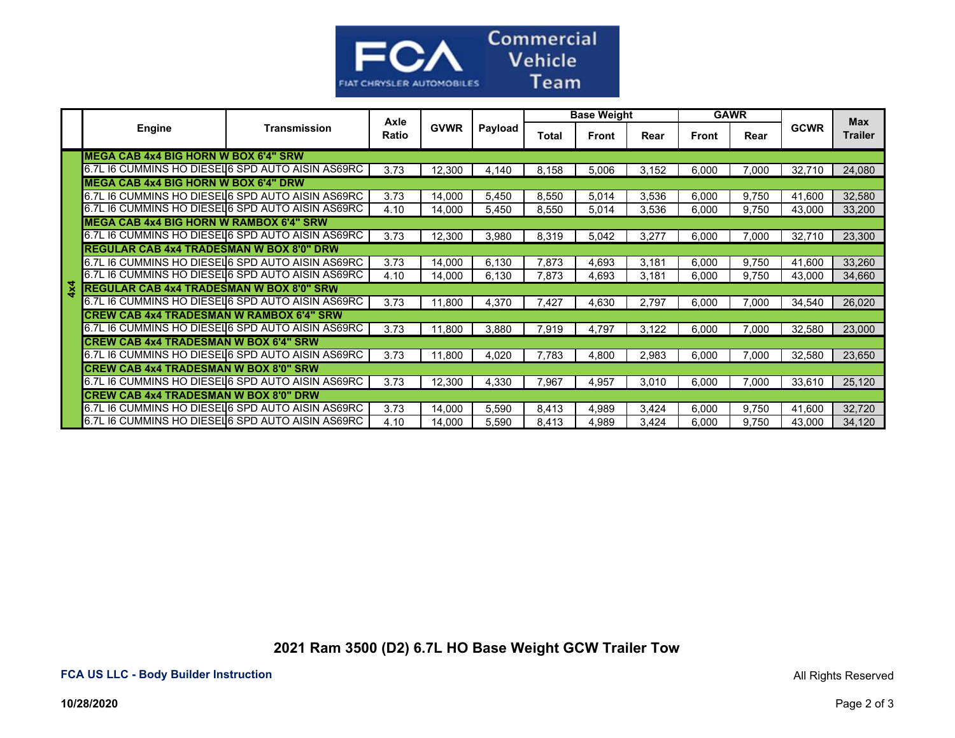

|            |                                                   |              | Axle  |             |         | <b>Base Weight</b> |              |       | <b>GAWR</b>  |       |             | <b>Max</b>     |
|------------|---------------------------------------------------|--------------|-------|-------------|---------|--------------------|--------------|-------|--------------|-------|-------------|----------------|
|            | <b>Engine</b>                                     | Transmission | Ratio | <b>GVWR</b> | Payload | <b>Total</b>       | <b>Front</b> | Rear  | <b>Front</b> | Rear  | <b>GCWR</b> | <b>Trailer</b> |
|            | <b>MEGA CAB 4x4 BIG HORN W BOX 6'4" SRW</b>       |              |       |             |         |                    |              |       |              |       |             |                |
|            | 6.7L I6 CUMMINS HO DIESEL 6 SPD AUTO AISIN AS69RC |              | 3.73  | 12,300      | 4,140   | 8,158              | 5,006        | 3,152 | 6,000        | 7,000 | 32,710      | 24,080         |
|            | <b>MEGA CAB 4x4 BIG HORN W BOX 6'4" DRW</b>       |              |       |             |         |                    |              |       |              |       |             |                |
|            | 6.7L I6 CUMMINS HO DIESELG SPD AUTO AISIN AS69RC  |              | 3.73  | 14,000      | 5,450   | 8,550              | 5,014        | 3,536 | 6,000        | 9,750 | 41,600      | 32,580         |
|            | 6.7L I6 CUMMINS HO DIESEL 6 SPD AUTO AISIN AS69RC |              | 4.10  | 14,000      | 5,450   | 8,550              | 5,014        | 3,536 | 6,000        | 9,750 | 43,000      | 33,200         |
|            | <b>MEGA CAB 4x4 BIG HORN W RAMBOX 6'4" SRW</b>    |              |       |             |         |                    |              |       |              |       |             |                |
|            | 6.7L I6 CUMMINS HO DIESEL 6 SPD AUTO AISIN AS69RC |              | 3.73  | 12,300      | 3,980   | 8,319              | 5,042        | 3,277 | 6,000        | 7,000 | 32,710      | 23,300         |
|            | <b>REGULAR CAB 4x4 TRADESMAN W BOX 8'0" DRW</b>   |              |       |             |         |                    |              |       |              |       |             |                |
|            | 6.7L I6 CUMMINS HO DIESEL 6 SPD AUTO AISIN AS69RC |              | 3.73  | 14,000      | 6,130   | 7,873              | 4,693        | 3,181 | 6,000        | 9,750 | 41,600      | 33,260         |
|            | 6.7L I6 CUMMINS HO DIESEL 6 SPD AUTO AISIN AS69RC |              | 4.10  | 14,000      | 6,130   | 7,873              | 4,693        | 3,181 | 6,000        | 9,750 | 43,000      | 34,660         |
| $4\times4$ | <b>REGULAR CAB 4x4 TRADESMAN W BOX 8'0" SRW</b>   |              |       |             |         |                    |              |       |              |       |             |                |
|            | 6.7L I6 CUMMINS HO DIESEL 6 SPD AUTO AISIN AS69RC |              | 3.73  | 11,800      | 4,370   | 7,427              | 4,630        | 2,797 | 6,000        | 7,000 | 34,540      | 26,020         |
|            | <b>CREW CAB 4x4 TRADESMAN W RAMBOX 6'4" SRW</b>   |              |       |             |         |                    |              |       |              |       |             |                |
|            | 6.7L I6 CUMMINS HO DIESEL 6 SPD AUTO AISIN AS69RC |              | 3.73  | 11.800      | 3,880   | 7,919              | 4.797        | 3.122 | 6.000        | 7.000 | 32,580      | 23,000         |
|            | <b>CREW CAB 4x4 TRADESMAN W BOX 6'4" SRW</b>      |              |       |             |         |                    |              |       |              |       |             |                |
|            | 6.7L I6 CUMMINS HO DIESEL 6 SPD AUTO AISIN AS69RC |              | 3.73  | 11,800      | 4,020   | 7,783              | 4,800        | 2,983 | 6,000        | 7,000 | 32,580      | 23,650         |
|            | <b>CREW CAB 4x4 TRADESMAN W BOX 8'0" SRW</b>      |              |       |             |         |                    |              |       |              |       |             |                |
|            | 6.7L I6 CUMMINS HO DIESEL 6 SPD AUTO AISIN AS69RC |              | 3.73  | 12,300      | 4,330   | 7,967              | 4,957        | 3,010 | 6,000        | 7.000 | 33.610      | 25,120         |
|            | <b>CREW CAB 4x4 TRADESMAN W BOX 8'0" DRW</b>      |              |       |             |         |                    |              |       |              |       |             |                |
|            | 6.7L I6 CUMMINS HO DIESELG SPD AUTO AISIN AS69RC  |              | 3.73  | 14,000      | 5,590   | 8,413              | 4,989        | 3,424 | 6,000        | 9,750 | 41,600      | 32,720         |
|            | 6.7L I6 CUMMINS HO DIESELG SPD AUTO AISIN AS69RC  |              | 4.10  | 14,000      | 5,590   | 8,413              | 4,989        | 3,424 | 6,000        | 9,750 | 43,000      | 34,120         |

**2021 Ram 3500 (D2) 6.7L HO Base Weight GCW Trailer Tow**